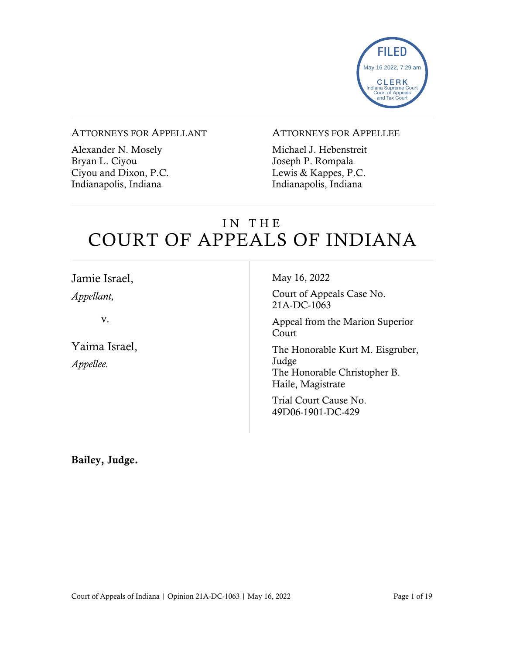

#### ATTORNEYS FOR APPELLANT

Alexander N. Mosely Bryan L. Ciyou Ciyou and Dixon, P.C. Indianapolis, Indiana

#### ATTORNEYS FOR APPELLEE

Michael J. Hebenstreit Joseph P. Rompala Lewis & Kappes, P.C. Indianapolis, Indiana

# IN THE COURT OF APPEALS OF INDIANA

| Jamie Israel,              | May 16, 2022                                                                                   |
|----------------------------|------------------------------------------------------------------------------------------------|
| Appellant,                 | Court of Appeals Case No.<br>21A-DC-1063                                                       |
| v.                         | Appeal from the Marion Superior<br>Court                                                       |
| Yaima Israel,<br>Appellee. | The Honorable Kurt M. Eisgruber,<br>Judge<br>The Honorable Christopher B.<br>Haile, Magistrate |
|                            | Trial Court Cause No.<br>49D06-1901-DC-429                                                     |

Bailey, Judge.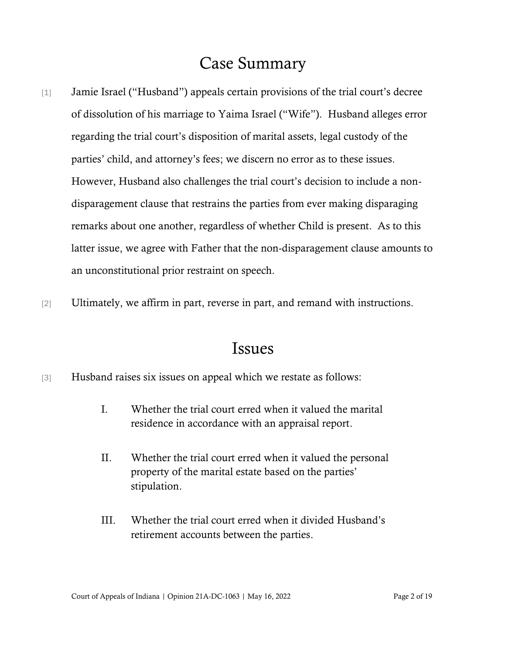## Case Summary

- [1] Jamie Israel ("Husband") appeals certain provisions of the trial court's decree of dissolution of his marriage to Yaima Israel ("Wife"). Husband alleges error regarding the trial court's disposition of marital assets, legal custody of the parties' child, and attorney's fees; we discern no error as to these issues. However, Husband also challenges the trial court's decision to include a nondisparagement clause that restrains the parties from ever making disparaging remarks about one another, regardless of whether Child is present. As to this latter issue, we agree with Father that the non-disparagement clause amounts to an unconstitutional prior restraint on speech.
- [2] Ultimately, we affirm in part, reverse in part, and remand with instructions.

### Issues

- [3] Husband raises six issues on appeal which we restate as follows:
	- I. Whether the trial court erred when it valued the marital residence in accordance with an appraisal report.
	- II. Whether the trial court erred when it valued the personal property of the marital estate based on the parties' stipulation.
	- III. Whether the trial court erred when it divided Husband's retirement accounts between the parties.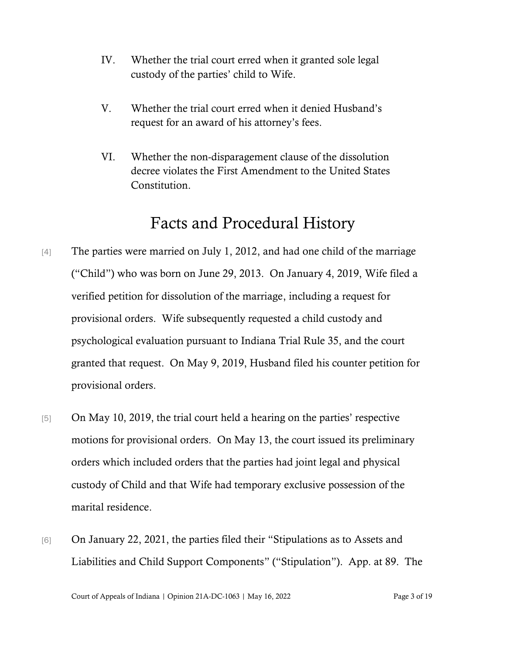- IV. Whether the trial court erred when it granted sole legal custody of the parties' child to Wife.
- V. Whether the trial court erred when it denied Husband's request for an award of his attorney's fees.
- VI. Whether the non-disparagement clause of the dissolution decree violates the First Amendment to the United States Constitution.

# Facts and Procedural History

- [4] The parties were married on July 1, 2012, and had one child of the marriage ("Child") who was born on June 29, 2013. On January 4, 2019, Wife filed a verified petition for dissolution of the marriage, including a request for provisional orders. Wife subsequently requested a child custody and psychological evaluation pursuant to Indiana Trial Rule 35, and the court granted that request. On May 9, 2019, Husband filed his counter petition for provisional orders.
- [5] On May 10, 2019, the trial court held a hearing on the parties' respective motions for provisional orders. On May 13, the court issued its preliminary orders which included orders that the parties had joint legal and physical custody of Child and that Wife had temporary exclusive possession of the marital residence.
- [6] On January 22, 2021, the parties filed their "Stipulations as to Assets and Liabilities and Child Support Components" ("Stipulation"). App. at 89. The

Court of Appeals of Indiana | Opinion 21A-DC-1063 | May 16, 2022 Page 3 of 19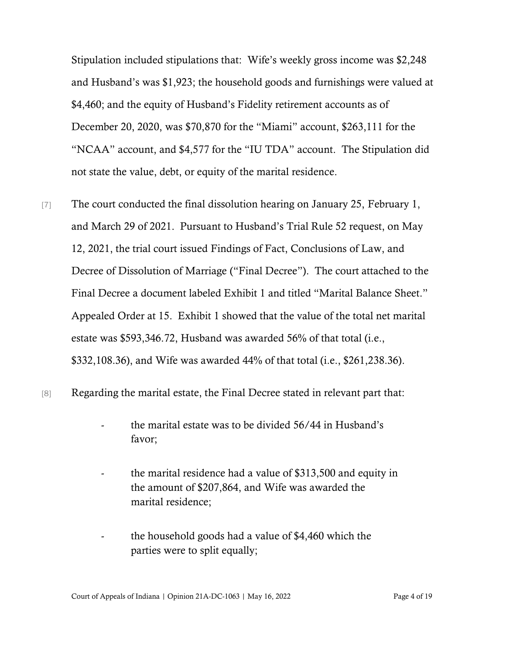Stipulation included stipulations that: Wife's weekly gross income was \$2,248 and Husband's was \$1,923; the household goods and furnishings were valued at \$4,460; and the equity of Husband's Fidelity retirement accounts as of December 20, 2020, was \$70,870 for the "Miami" account, \$263,111 for the "NCAA" account, and \$4,577 for the "IU TDA" account. The Stipulation did not state the value, debt, or equity of the marital residence.

- [7] The court conducted the final dissolution hearing on January 25, February 1, and March 29 of 2021. Pursuant to Husband's Trial Rule 52 request, on May 12, 2021, the trial court issued Findings of Fact, Conclusions of Law, and Decree of Dissolution of Marriage ("Final Decree"). The court attached to the Final Decree a document labeled Exhibit 1 and titled "Marital Balance Sheet." Appealed Order at 15. Exhibit 1 showed that the value of the total net marital estate was \$593,346.72, Husband was awarded 56% of that total (i.e., \$332,108.36), and Wife was awarded 44% of that total (i.e., \$261,238.36).
- [8] Regarding the marital estate, the Final Decree stated in relevant part that:
	- the marital estate was to be divided 56/44 in Husband's favor;
	- the marital residence had a value of \$313,500 and equity in the amount of \$207,864, and Wife was awarded the marital residence;
	- the household goods had a value of \$4,460 which the parties were to split equally;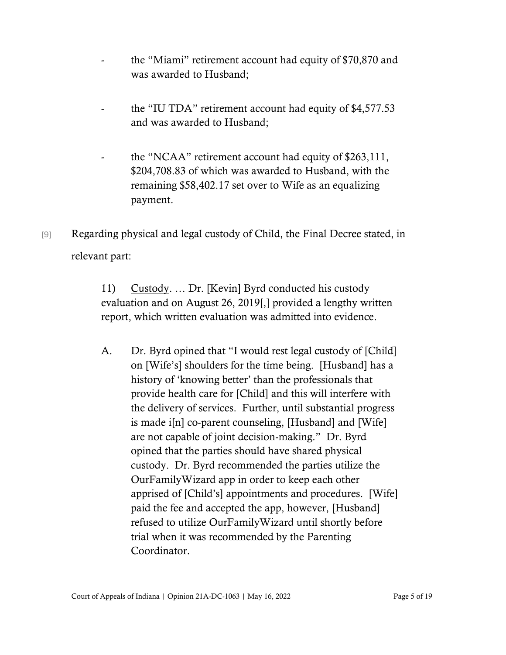- the "Miami" retirement account had equity of \$70,870 and was awarded to Husband;
- the "IU TDA" retirement account had equity of \$4,577.53 and was awarded to Husband;
- the "NCAA" retirement account had equity of \$263,111, \$204,708.83 of which was awarded to Husband, with the remaining \$58,402.17 set over to Wife as an equalizing payment.
- [9] Regarding physical and legal custody of Child, the Final Decree stated, in relevant part:

11) Custody. … Dr. [Kevin] Byrd conducted his custody evaluation and on August 26, 2019[,] provided a lengthy written report, which written evaluation was admitted into evidence.

A. Dr. Byrd opined that "I would rest legal custody of [Child] on [Wife's] shoulders for the time being. [Husband] has a history of 'knowing better' than the professionals that provide health care for [Child] and this will interfere with the delivery of services. Further, until substantial progress is made i[n] co-parent counseling, [Husband] and [Wife] are not capable of joint decision-making." Dr. Byrd opined that the parties should have shared physical custody. Dr. Byrd recommended the parties utilize the OurFamilyWizard app in order to keep each other apprised of [Child's] appointments and procedures. [Wife] paid the fee and accepted the app, however, [Husband] refused to utilize OurFamilyWizard until shortly before trial when it was recommended by the Parenting Coordinator.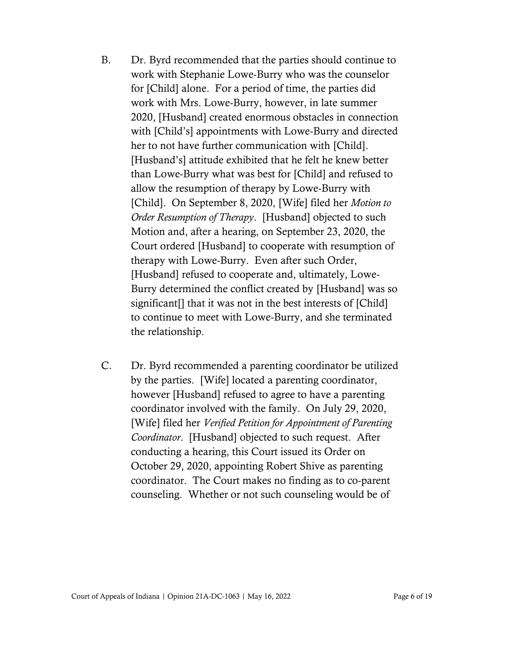- B. Dr. Byrd recommended that the parties should continue to work with Stephanie Lowe-Burry who was the counselor for [Child] alone. For a period of time, the parties did work with Mrs. Lowe-Burry, however, in late summer 2020, [Husband] created enormous obstacles in connection with [Child's] appointments with Lowe-Burry and directed her to not have further communication with [Child]. [Husband's] attitude exhibited that he felt he knew better than Lowe-Burry what was best for [Child] and refused to allow the resumption of therapy by Lowe-Burry with [Child]. On September 8, 2020, [Wife] filed her *Motion to Order Resumption of Therapy*. [Husband] objected to such Motion and, after a hearing, on September 23, 2020, the Court ordered [Husband] to cooperate with resumption of therapy with Lowe-Burry. Even after such Order, [Husband] refused to cooperate and, ultimately, Lowe-Burry determined the conflict created by [Husband] was so significant<sup>[]</sup> that it was not in the best interests of [Child] to continue to meet with Lowe-Burry, and she terminated the relationship.
- C. Dr. Byrd recommended a parenting coordinator be utilized by the parties. [Wife] located a parenting coordinator, however [Husband] refused to agree to have a parenting coordinator involved with the family. On July 29, 2020, [Wife] filed her *Verified Petition for Appointment of Parenting Coordinator*. [Husband] objected to such request. After conducting a hearing, this Court issued its Order on October 29, 2020, appointing Robert Shive as parenting coordinator. The Court makes no finding as to co-parent counseling. Whether or not such counseling would be of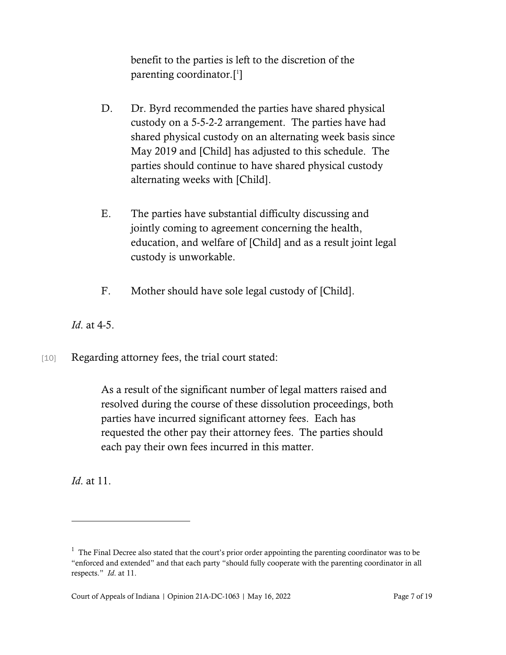benefit to the parties is left to the discretion of the parenting coordinator.[ 1 ]

- D. Dr. Byrd recommended the parties have shared physical custody on a 5-5-2-2 arrangement. The parties have had shared physical custody on an alternating week basis since May 2019 and [Child] has adjusted to this schedule. The parties should continue to have shared physical custody alternating weeks with [Child].
- E. The parties have substantial difficulty discussing and jointly coming to agreement concerning the health, education, and welfare of [Child] and as a result joint legal custody is unworkable.
- F. Mother should have sole legal custody of [Child].

*Id*. at 4-5.

[10] Regarding attorney fees, the trial court stated:

As a result of the significant number of legal matters raised and resolved during the course of these dissolution proceedings, both parties have incurred significant attorney fees. Each has requested the other pay their attorney fees. The parties should each pay their own fees incurred in this matter.

*Id*. at 11.

 $1$  The Final Decree also stated that the court's prior order appointing the parenting coordinator was to be "enforced and extended" and that each party "should fully cooperate with the parenting coordinator in all respects." *Id*. at 11.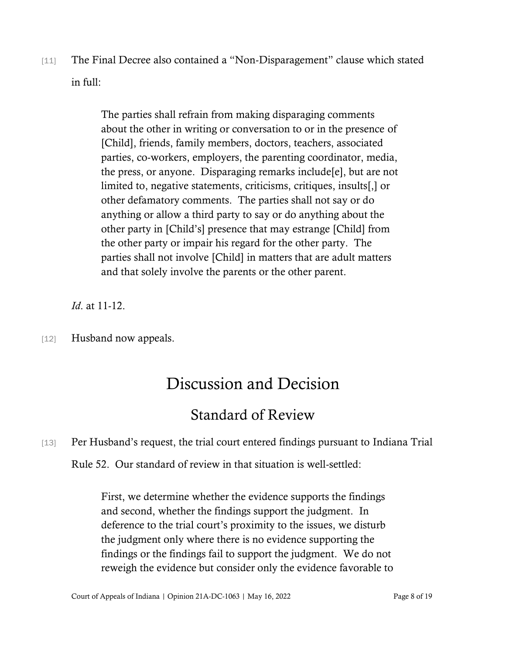[11] The Final Decree also contained a "Non-Disparagement" clause which stated in full:

> The parties shall refrain from making disparaging comments about the other in writing or conversation to or in the presence of [Child], friends, family members, doctors, teachers, associated parties, co-workers, employers, the parenting coordinator, media, the press, or anyone. Disparaging remarks include[e], but are not limited to, negative statements, criticisms, critiques, insults[,] or other defamatory comments. The parties shall not say or do anything or allow a third party to say or do anything about the other party in [Child's] presence that may estrange [Child] from the other party or impair his regard for the other party. The parties shall not involve [Child] in matters that are adult matters and that solely involve the parents or the other parent.

*Id*. at 11-12.

[12] Husband now appeals.

# Discussion and Decision

# Standard of Review

[13] Per Husband's request, the trial court entered findings pursuant to Indiana Trial

Rule 52. Our standard of review in that situation is well-settled:

First, we determine whether the evidence supports the findings and second, whether the findings support the judgment. In deference to the trial court's proximity to the issues, we disturb the judgment only where there is no evidence supporting the findings or the findings fail to support the judgment. We do not reweigh the evidence but consider only the evidence favorable to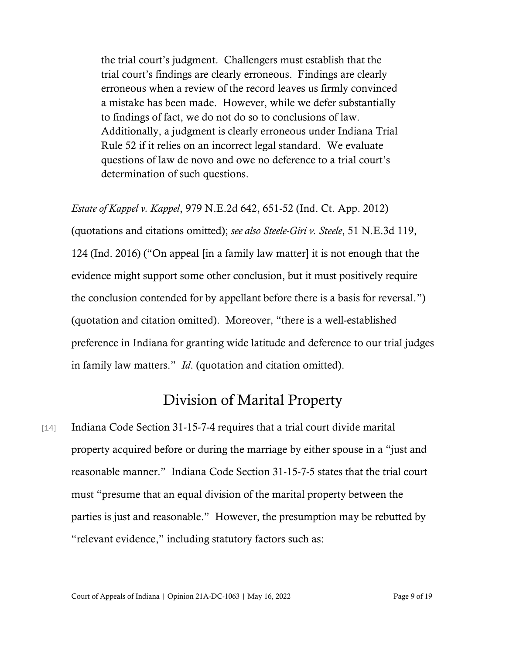the trial court's judgment. Challengers must establish that the trial court's findings are clearly erroneous. Findings are clearly erroneous when a review of the record leaves us firmly convinced a mistake has been made. However, while we defer substantially to findings of fact, we do not do so to conclusions of law. Additionally, a judgment is clearly erroneous under Indiana Trial Rule 52 if it relies on an incorrect legal standard. We evaluate questions of law de novo and owe no deference to a trial court's determination of such questions.

*Estate of Kappel v. Kappel*, 979 N.E.2d 642, 651-52 (Ind. Ct. App. 2012) (quotations and citations omitted); *see also Steele-Giri v. Steele*, 51 N.E.3d 119, 124 (Ind. 2016) ("On appeal [in a family law matter] it is not enough that the evidence might support some other conclusion, but it must positively require the conclusion contended for by appellant before there is a basis for reversal.") (quotation and citation omitted). Moreover, "there is a well-established preference in Indiana for granting wide latitude and deference to our trial judges in family law matters." *Id*. (quotation and citation omitted).

### Division of Marital Property

[14] Indiana Code Section 31-15-7-4 requires that a trial court divide marital property acquired before or during the marriage by either spouse in a "just and reasonable manner." Indiana Code Section 31-15-7-5 states that the trial court must "presume that an equal division of the marital property between the parties is just and reasonable." However, the presumption may be rebutted by "relevant evidence," including statutory factors such as: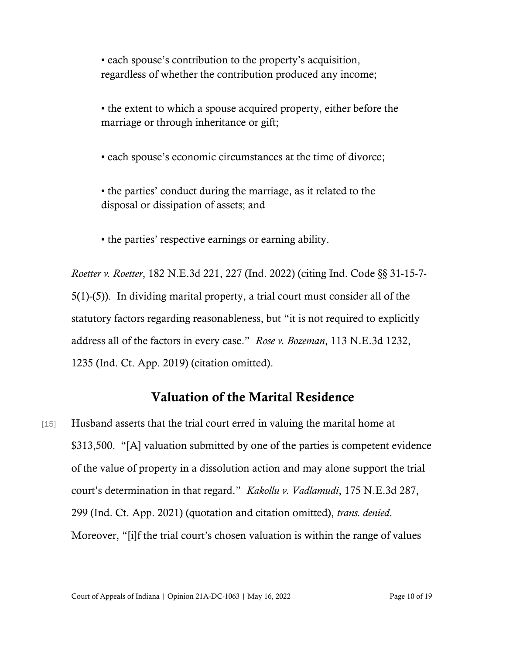• each spouse's contribution to the property's acquisition, regardless of whether the contribution produced any income;

• the extent to which a spouse acquired property, either before the marriage or through inheritance or gift;

• each spouse's economic circumstances at the time of divorce;

• the parties' conduct during the marriage, as it related to the disposal or dissipation of assets; and

• the parties' respective earnings or earning ability.

*Roetter v. Roetter*, 182 N.E.3d 221, 227 (Ind. 2022) (citing Ind. Code §§ 31-15-7- 5(1)-(5)). In dividing marital property, a trial court must consider all of the statutory factors regarding reasonableness, but "it is not required to explicitly address all of the factors in every case." *Rose v. Bozeman*, 113 N.E.3d 1232, 1235 (Ind. Ct. App. 2019) (citation omitted).

#### Valuation of the Marital Residence

[15] Husband asserts that the trial court erred in valuing the marital home at \$313,500. "[A] valuation submitted by one of the parties is competent evidence of the value of property in a dissolution action and may alone support the trial court's determination in that regard." *Kakollu v. Vadlamudi*, 175 N.E.3d 287, 299 (Ind. Ct. App. 2021) (quotation and citation omitted), *trans. denied*. Moreover, "[i]f the trial court's chosen valuation is within the range of values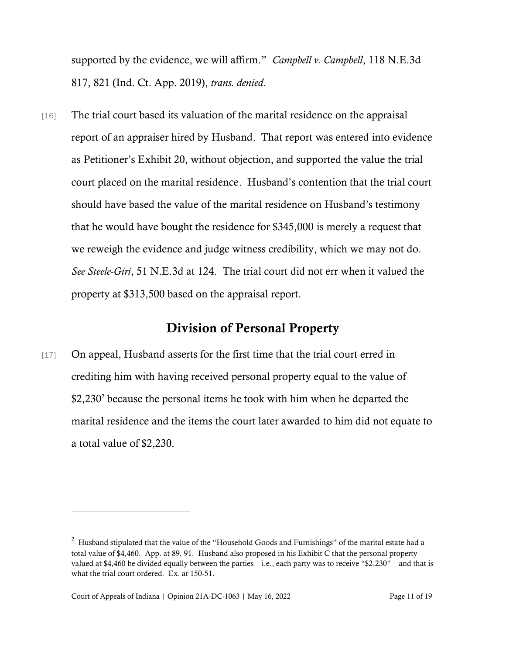supported by the evidence, we will affirm." *Campbell v. Campbell*, 118 N.E.3d 817, 821 (Ind. Ct. App. 2019), *trans. denied*.

[16] The trial court based its valuation of the marital residence on the appraisal report of an appraiser hired by Husband. That report was entered into evidence as Petitioner's Exhibit 20, without objection, and supported the value the trial court placed on the marital residence. Husband's contention that the trial court should have based the value of the marital residence on Husband's testimony that he would have bought the residence for \$345,000 is merely a request that we reweigh the evidence and judge witness credibility, which we may not do. *See Steele-Giri*, 51 N.E.3d at 124. The trial court did not err when it valued the property at \$313,500 based on the appraisal report.

#### Division of Personal Property

[17] On appeal, Husband asserts for the first time that the trial court erred in crediting him with having received personal property equal to the value of \$2,230<sup>2</sup> because the personal items he took with him when he departed the marital residence and the items the court later awarded to him did not equate to a total value of \$2,230.

<sup>&</sup>lt;sup>2</sup> Husband stipulated that the value of the "Household Goods and Furnishings" of the marital estate had a total value of \$4,460. App. at 89, 91. Husband also proposed in his Exhibit C that the personal property valued at \$4,460 be divided equally between the parties—i.e., each party was to receive "\$2,230"—and that is what the trial court ordered. Ex. at 150-51.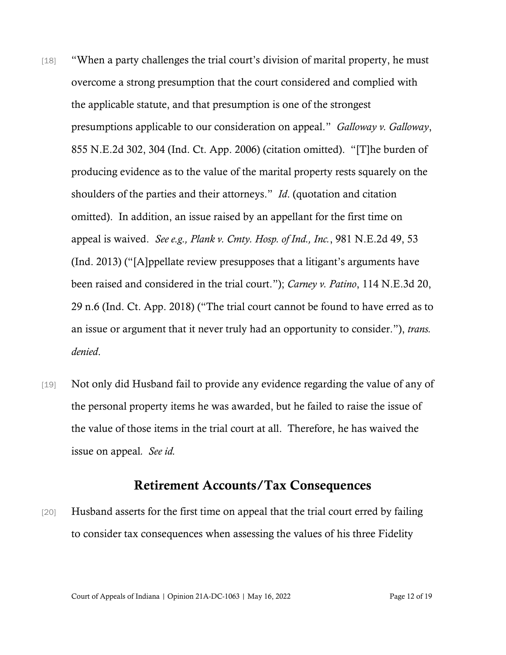- [18] "When a party challenges the trial court's division of marital property, he must overcome a strong presumption that the court considered and complied with the applicable statute, and that presumption is one of the strongest presumptions applicable to our consideration on appeal." *Galloway v. Galloway*, 855 N.E.2d 302, 304 (Ind. Ct. App. 2006) (citation omitted). "[T]he burden of producing evidence as to the value of the marital property rests squarely on the shoulders of the parties and their attorneys." *Id*. (quotation and citation omitted). In addition, an issue raised by an appellant for the first time on appeal is waived. *See e.g., Plank v. Cmty. Hosp. of Ind., Inc.*, 981 N.E.2d 49, 53 (Ind. 2013) ("[A]ppellate review presupposes that a litigant's arguments have been raised and considered in the trial court."); *Carney v. Patino*, 114 N.E.3d 20, 29 n.6 (Ind. Ct. App. 2018) ("The trial court cannot be found to have erred as to an issue or argument that it never truly had an opportunity to consider."), *trans. denied*.
- [19] Not only did Husband fail to provide any evidence regarding the value of any of the personal property items he was awarded, but he failed to raise the issue of the value of those items in the trial court at all. Therefore, he has waived the issue on appeal*. See id.*

#### Retirement Accounts/Tax Consequences

[20] Husband asserts for the first time on appeal that the trial court erred by failing to consider tax consequences when assessing the values of his three Fidelity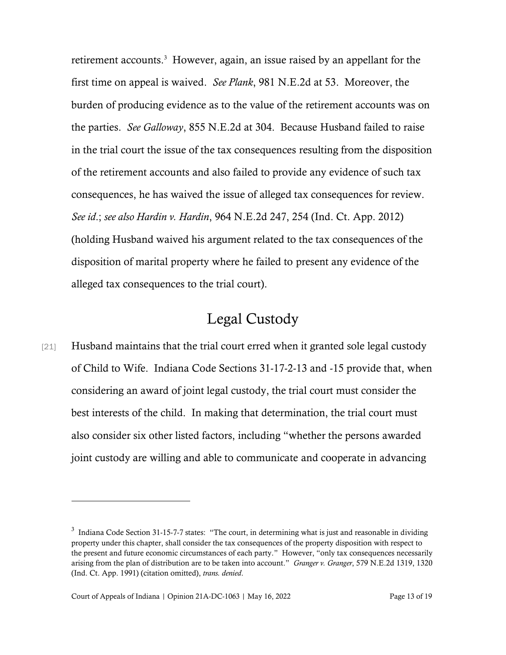retirement accounts.<sup>3</sup> However, again, an issue raised by an appellant for the first time on appeal is waived. *See Plank*, 981 N.E.2d at 53. Moreover, the burden of producing evidence as to the value of the retirement accounts was on the parties. *See Galloway*, 855 N.E.2d at 304. Because Husband failed to raise in the trial court the issue of the tax consequences resulting from the disposition of the retirement accounts and also failed to provide any evidence of such tax consequences, he has waived the issue of alleged tax consequences for review. *See id*.; *see also Hardin v. Hardin*, 964 N.E.2d 247, 254 (Ind. Ct. App. 2012) (holding Husband waived his argument related to the tax consequences of the disposition of marital property where he failed to present any evidence of the alleged tax consequences to the trial court).

### Legal Custody

[21] Husband maintains that the trial court erred when it granted sole legal custody of Child to Wife. Indiana Code Sections 31-17-2-13 and -15 provide that, when considering an award of joint legal custody, the trial court must consider the best interests of the child. In making that determination, the trial court must also consider six other listed factors, including "whether the persons awarded joint custody are willing and able to communicate and cooperate in advancing

 $3$  Indiana Code Section 31-15-7-7 states: "The court, in determining what is just and reasonable in dividing property under this chapter, shall consider the tax consequences of the property disposition with respect to the present and future economic circumstances of each party." However, "only tax consequences necessarily arising from the plan of distribution are to be taken into account." *Granger v. Granger*, 579 N.E.2d 1319, 1320 (Ind. Ct. App. 1991) (citation omitted), *trans. denied*.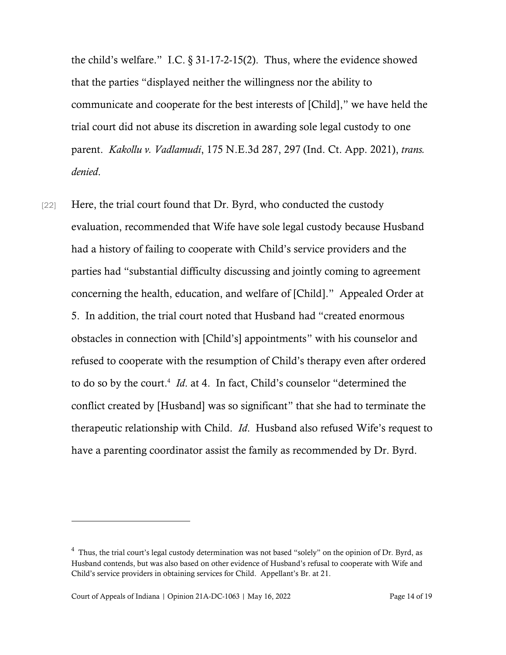the child's welfare." I.C.  $\S 31-17-2-15(2)$ . Thus, where the evidence showed that the parties "displayed neither the willingness nor the ability to communicate and cooperate for the best interests of [Child]," we have held the trial court did not abuse its discretion in awarding sole legal custody to one parent. *Kakollu v. Vadlamudi*, 175 N.E.3d 287, 297 (Ind. Ct. App. 2021), *trans. denied*.

[22] Here, the trial court found that Dr. Byrd, who conducted the custody evaluation, recommended that Wife have sole legal custody because Husband had a history of failing to cooperate with Child's service providers and the parties had "substantial difficulty discussing and jointly coming to agreement concerning the health, education, and welfare of [Child]." Appealed Order at 5. In addition, the trial court noted that Husband had "created enormous obstacles in connection with [Child's] appointments" with his counselor and refused to cooperate with the resumption of Child's therapy even after ordered to do so by the court.<sup>4</sup> *Id*. at 4. In fact, Child's counselor "determined the conflict created by [Husband] was so significant" that she had to terminate the therapeutic relationship with Child. *Id*. Husband also refused Wife's request to have a parenting coordinator assist the family as recommended by Dr. Byrd.

 $4$  Thus, the trial court's legal custody determination was not based "solely" on the opinion of Dr. Byrd, as Husband contends, but was also based on other evidence of Husband's refusal to cooperate with Wife and Child's service providers in obtaining services for Child. Appellant's Br. at 21.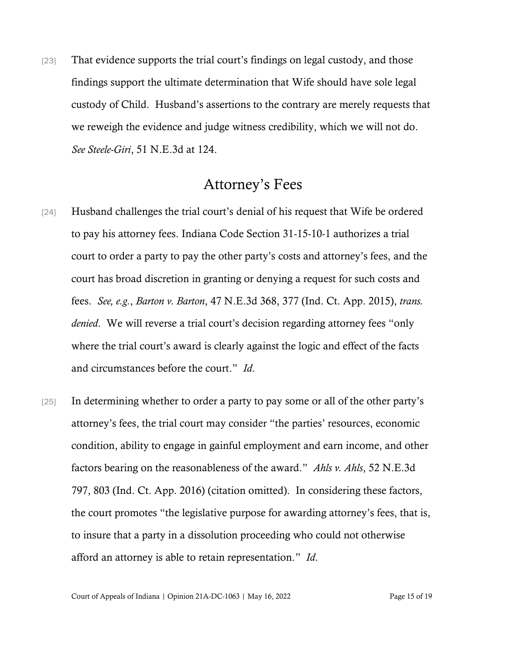[23] That evidence supports the trial court's findings on legal custody, and those findings support the ultimate determination that Wife should have sole legal custody of Child. Husband's assertions to the contrary are merely requests that we reweigh the evidence and judge witness credibility, which we will not do. *See Steele-Giri*, 51 N.E.3d at 124.

### Attorney's Fees

- [24] Husband challenges the trial court's denial of his request that Wife be ordered to pay his attorney fees. Indiana Code Section 31-15-10-1 authorizes a trial court to order a party to pay the other party's costs and attorney's fees, and the court has broad discretion in granting or denying a request for such costs and fees. *See, e.g.*, *Barton v. Barton*, 47 N.E.3d 368, 377 (Ind. Ct. App. 2015), *trans. denied*. We will reverse a trial court's decision regarding attorney fees "only where the trial court's award is clearly against the logic and effect of the facts and circumstances before the court." *Id*.
- [25] In determining whether to order a party to pay some or all of the other party's attorney's fees, the trial court may consider "the parties' resources, economic condition, ability to engage in gainful employment and earn income, and other factors bearing on the reasonableness of the award." *Ahls v. Ahls*, 52 N.E.3d 797, 803 (Ind. Ct. App. 2016) (citation omitted). In considering these factors, the court promotes "the legislative purpose for awarding attorney's fees, that is, to insure that a party in a dissolution proceeding who could not otherwise afford an attorney is able to retain representation." *Id*.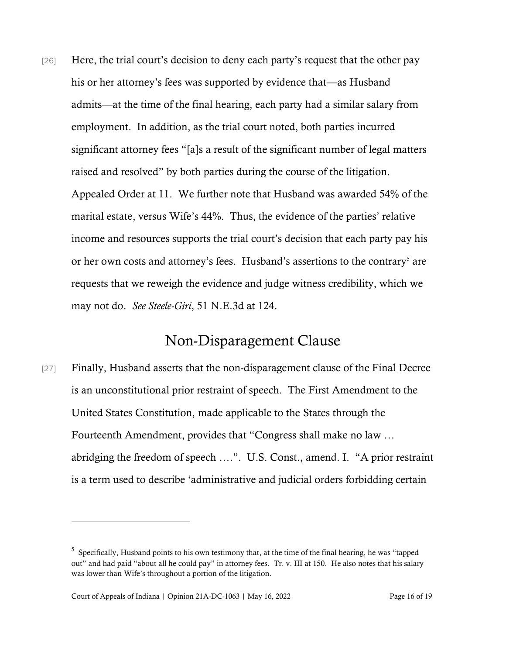[26] Here, the trial court's decision to deny each party's request that the other pay his or her attorney's fees was supported by evidence that—as Husband admits—at the time of the final hearing, each party had a similar salary from employment. In addition, as the trial court noted, both parties incurred significant attorney fees "[a]s a result of the significant number of legal matters raised and resolved" by both parties during the course of the litigation. Appealed Order at 11. We further note that Husband was awarded 54% of the marital estate, versus Wife's 44%. Thus, the evidence of the parties' relative income and resources supports the trial court's decision that each party pay his or her own costs and attorney's fees. Husband's assertions to the contrary<sup>5</sup> are requests that we reweigh the evidence and judge witness credibility, which we may not do. *See Steele-Giri*, 51 N.E.3d at 124.

### Non-Disparagement Clause

[27] Finally, Husband asserts that the non-disparagement clause of the Final Decree is an unconstitutional prior restraint of speech. The First Amendment to the United States Constitution, made applicable to the States through the Fourteenth Amendment, provides that "Congress shall make no law … abridging the freedom of speech ….". U.S. Const., amend. I. "A prior restraint is a term used to describe 'administrative and judicial orders forbidding certain

 $5$  Specifically, Husband points to his own testimony that, at the time of the final hearing, he was "tapped out" and had paid "about all he could pay" in attorney fees. Tr. v. III at 150. He also notes that his salary was lower than Wife's throughout a portion of the litigation.

Court of Appeals of Indiana | Opinion 21A-DC-1063 | May 16, 2022 Page 16 of 19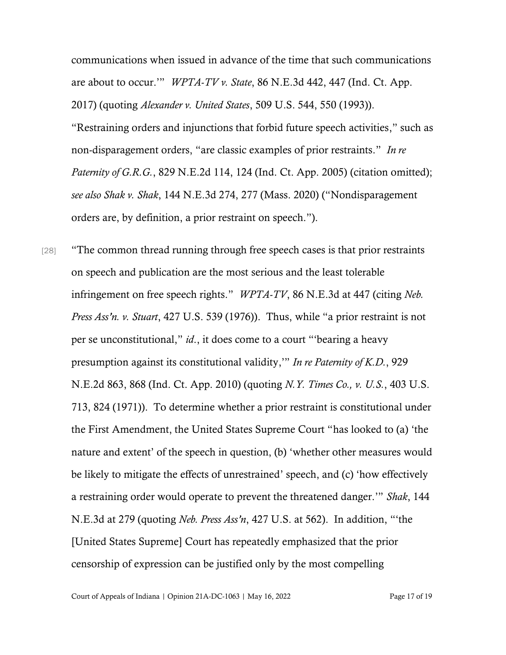communications when issued in advance of the time that such communications are about to occur.'" *WPTA-TV v. State*, 86 N.E.3d 442, 447 (Ind. Ct. App. 2017) (quoting *Alexander v. United States*, 509 U.S. 544, 550 (1993)). "Restraining orders and injunctions that forbid future speech activities," such as non-disparagement orders, "are classic examples of prior restraints." *In re Paternity of G.R.G.*, 829 N.E.2d 114, 124 (Ind. Ct. App. 2005) (citation omitted); *see also Shak v. Shak*, 144 N.E.3d 274, 277 (Mass. 2020) ("Nondisparagement orders are, by definition, a prior restraint on speech.").

[28] "The common thread running through free speech cases is that prior restraints on speech and publication are the most serious and the least tolerable infringement on free speech rights." *WPTA-TV*, 86 N.E.3d at 447 (citing *Neb. Press Ass'n. v. Stuart*, 427 U.S. 539 (1976)). Thus, while "a prior restraint is not per se unconstitutional," *id*., it does come to a court "'bearing a heavy presumption against its constitutional validity,'" *In re Paternity of K.D.*, 929 N.E.2d 863, 868 (Ind. Ct. App. 2010) (quoting *N.Y. Times Co., v. U.S.*, 403 U.S. 713, 824 (1971)). To determine whether a prior restraint is constitutional under the First Amendment, the United States Supreme Court "has looked to (a) 'the nature and extent' of the speech in question, (b) 'whether other measures would be likely to mitigate the effects of unrestrained' speech, and (c) 'how effectively a restraining order would operate to prevent the threatened danger.'" *Shak*, 144 N.E.3d at 279 (quoting *Neb. Press Ass'n*, 427 U.S. at 562). In addition, "'the [United States Supreme] Court has repeatedly emphasized that the prior censorship of expression can be justified only by the most compelling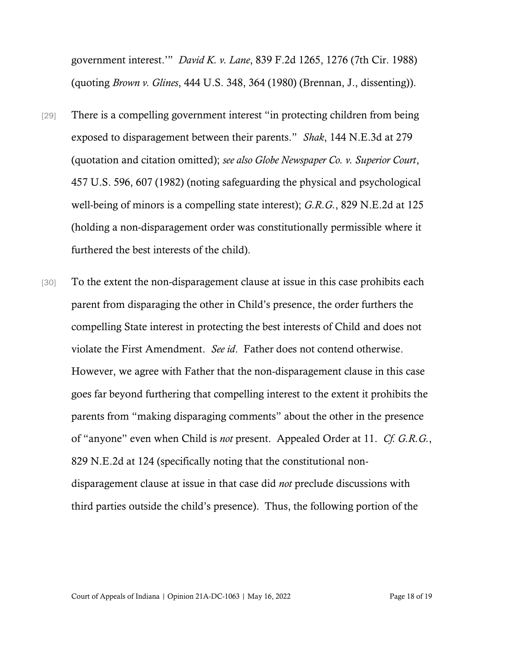government interest.'" *David K. v. Lane*, 839 F.2d 1265, 1276 (7th Cir. 1988) (quoting *Brown v. Glines*, 444 U.S. 348, 364 (1980) (Brennan, J., dissenting)).

- [29] There is a compelling government interest "in protecting children from being exposed to disparagement between their parents." *Shak*, 144 N.E.3d at 279 (quotation and citation omitted); *see also Globe Newspaper Co. v. Superior Court*, 457 U.S. 596, 607 (1982) (noting safeguarding the physical and psychological well-being of minors is a compelling state interest); *G.R.G.*, 829 N.E.2d at 125 (holding a non-disparagement order was constitutionally permissible where it furthered the best interests of the child).
- [30] To the extent the non-disparagement clause at issue in this case prohibits each parent from disparaging the other in Child's presence, the order furthers the compelling State interest in protecting the best interests of Child and does not violate the First Amendment. *See id*. Father does not contend otherwise. However, we agree with Father that the non-disparagement clause in this case goes far beyond furthering that compelling interest to the extent it prohibits the parents from "making disparaging comments" about the other in the presence of "anyone" even when Child is *not* present. Appealed Order at 11. *Cf. G.R.G.*, 829 N.E.2d at 124 (specifically noting that the constitutional nondisparagement clause at issue in that case did *not* preclude discussions with third parties outside the child's presence). Thus, the following portion of the